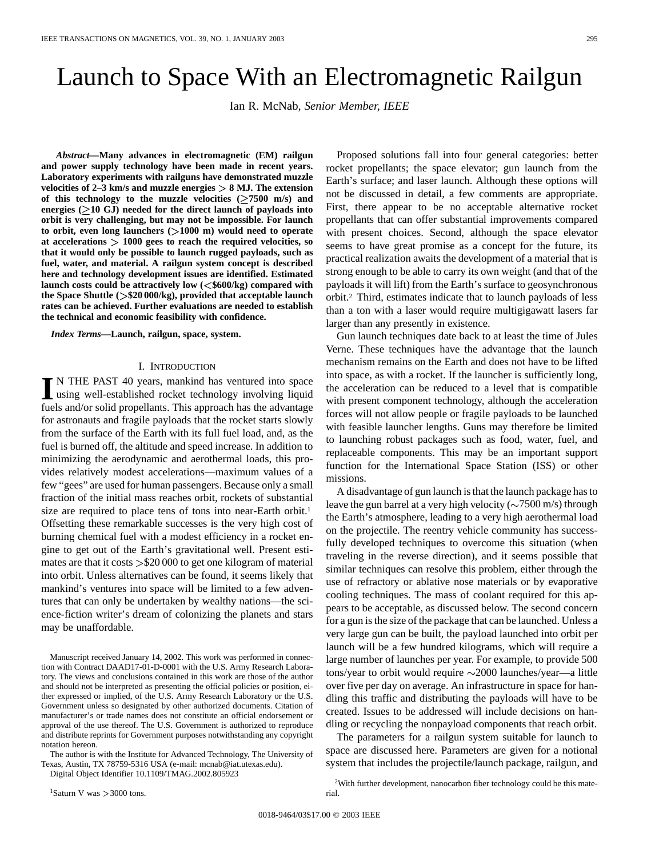# Launch to Space With an Electromagnetic Railgun

Ian R. McNab*, Senior Member, IEEE*

*Abstract—***Many advances in electromagnetic (EM) railgun and power supply technology have been made in recent years. Laboratory experiments with railguns have demonstrated muzzle velocities of 2–3 km/s and muzzle energies 8 MJ. The extension of this technology to the muzzle velocities ( 7500 m/s) and energies ( 10 GJ) needed for the direct launch of payloads into orbit is very challenging, but may not be impossible. For launch to orbit, even long launchers ( 1000 m) would need to operate at accelerations 1000 gees to reach the required velocities, so that it would only be possible to launch rugged payloads, such as fuel, water, and material. A railgun system concept is described here and technology development issues are identified. Estimated** launch costs could be attractively low ( $\lt$ \$600/kg) compared with **the Space Shuttle ( \$20 000/kg), provided that acceptable launch rates can be achieved. Further evaluations are needed to establish the technical and economic feasibility with confidence.**

*Index Terms—***Launch, railgun, space, system.**

#### I. INTRODUCTION

IN THE PAST 40 years, mankind has ventured into space using well-established rocket technology involving liquid fuels and/or solid propellants. This approach has the advantage for astronauts and fragile payloads that the rocket starts slowly from the surface of the Earth with its full fuel load, and, as the fuel is burned off, the altitude and speed increase. In addition to minimizing the aerodynamic and aerothermal loads, this provides relatively modest accelerations—maximum values of a few "gees" are used for human passengers. Because only a small fraction of the initial mass reaches orbit, rockets of substantial size are required to place tens of tons into near-Earth orbit.<sup>1</sup> Offsetting these remarkable successes is the very high cost of burning chemical fuel with a modest efficiency in a rocket engine to get out of the Earth's gravitational well. Present estimates are that it costs  $>$ \$20 000 to get one kilogram of material into orbit. Unless alternatives can be found, it seems likely that mankind's ventures into space will be limited to a few adventures that can only be undertaken by wealthy nations—the science-fiction writer's dream of colonizing the planets and stars may be unaffordable.

Manuscript received January 14, 2002. This work was performed in connection with Contract DAAD17-01-D-0001 with the U.S. Army Research Laboratory. The views and conclusions contained in this work are those of the author and should not be interpreted as presenting the official policies or position, either expressed or implied, of the U.S. Army Research Laboratory or the U.S. Government unless so designated by other authorized documents. Citation of manufacturer's or trade names does not constitute an official endorsement or approval of the use thereof. The U.S. Government is authorized to reproduce and distribute reprints for Government purposes notwithstanding any copyright notation hereon.

The author is with the Institute for Advanced Technology, The University of Texas, Austin, TX 78759-5316 USA (e-mail: mcnab@iat.utexas.edu).

Digital Object Identifier 10.1109/TMAG.2002.805923

<sup>1</sup>Saturn V was  $>$  3000 tons.

Proposed solutions fall into four general categories: better rocket propellants; the space elevator; gun launch from the Earth's surface; and laser launch. Although these options will not be discussed in detail, a few comments are appropriate. First, there appear to be no acceptable alternative rocket propellants that can offer substantial improvements compared with present choices. Second, although the space elevator seems to have great promise as a concept for the future, its practical realization awaits the development of a material that is strong enough to be able to carry its own weight (and that of the payloads it will lift) from the Earth's surface to geosynchronous orbit.2 Third, estimates indicate that to launch payloads of less than a ton with a laser would require multigigawatt lasers far larger than any presently in existence.

Gun launch techniques date back to at least the time of Jules Verne. These techniques have the advantage that the launch mechanism remains on the Earth and does not have to be lifted into space, as with a rocket. If the launcher is sufficiently long, the acceleration can be reduced to a level that is compatible with present component technology, although the acceleration forces will not allow people or fragile payloads to be launched with feasible launcher lengths. Guns may therefore be limited to launching robust packages such as food, water, fuel, and replaceable components. This may be an important support function for the International Space Station (ISS) or other missions.

A disadvantage of gun launch is that the launch package has to leave the gun barrel at a very high velocity ( $\sim$ 7500 m/s) through the Earth's atmosphere, leading to a very high aerothermal load on the projectile. The reentry vehicle community has successfully developed techniques to overcome this situation (when traveling in the reverse direction), and it seems possible that similar techniques can resolve this problem, either through the use of refractory or ablative nose materials or by evaporative cooling techniques. The mass of coolant required for this appears to be acceptable, as discussed below. The second concern for a gun is the size of the package that can be launched. Unless a very large gun can be built, the payload launched into orbit per launch will be a few hundred kilograms, which will require a large number of launches per year. For example, to provide 500 tons/year to orbit would require  $\sim$ 2000 launches/year—a little over five per day on average. An infrastructure in space for handling this traffic and distributing the payloads will have to be created. Issues to be addressed will include decisions on handling or recycling the nonpayload components that reach orbit.

The parameters for a railgun system suitable for launch to space are discussed here. Parameters are given for a notional system that includes the projectile/launch package, railgun, and

<sup>2</sup>With further development, nanocarbon fiber technology could be this material.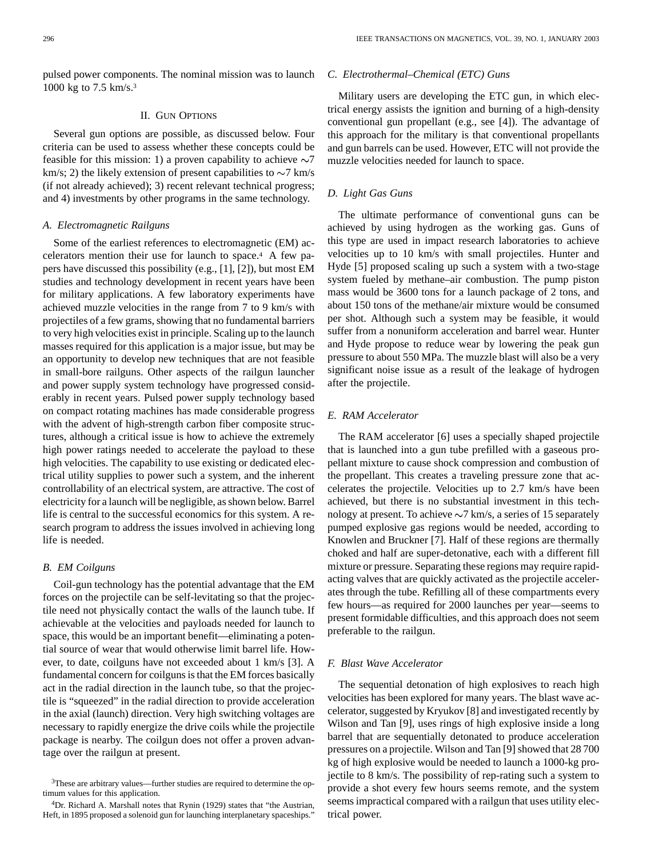pulsed power components. The nominal mission was to launch 1000 kg to 7.5 km/s.3

# II. GUN OPTIONS

Several gun options are possible, as discussed below. Four criteria can be used to assess whether these concepts could be feasible for this mission: 1) a proven capability to achieve  $\sim$ 7 km/s; 2) the likely extension of present capabilities to  $\sim$ 7 km/s (if not already achieved); 3) recent relevant technical progress; and 4) investments by other programs in the same technology.

## *A. Electromagnetic Railguns*

Some of the earliest references to electromagnetic (EM) accelerators mention their use for launch to space.4 A few papers have discussed this possibility (e.g., [1], [2]), but most EM studies and technology development in recent years have been for military applications. A few laboratory experiments have achieved muzzle velocities in the range from 7 to 9 km/s with projectiles of a few grams, showing that no fundamental barriers to very high velocities exist in principle. Scaling up to the launch masses required for this application is a major issue, but may be an opportunity to develop new techniques that are not feasible in small-bore railguns. Other aspects of the railgun launcher and power supply system technology have progressed considerably in recent years. Pulsed power supply technology based on compact rotating machines has made considerable progress with the advent of high-strength carbon fiber composite structures, although a critical issue is how to achieve the extremely high power ratings needed to accelerate the payload to these high velocities. The capability to use existing or dedicated electrical utility supplies to power such a system, and the inherent controllability of an electrical system, are attractive. The cost of electricity for a launch will be negligible, as shown below. Barrel life is central to the successful economics for this system. A research program to address the issues involved in achieving long life is needed.

## *B. EM Coilguns*

Coil-gun technology has the potential advantage that the EM forces on the projectile can be self-levitating so that the projectile need not physically contact the walls of the launch tube. If achievable at the velocities and payloads needed for launch to space, this would be an important benefit—eliminating a potential source of wear that would otherwise limit barrel life. However, to date, coilguns have not exceeded about 1 km/s [3]. A fundamental concern for coilguns is that the EM forces basically act in the radial direction in the launch tube, so that the projectile is "squeezed" in the radial direction to provide acceleration in the axial (launch) direction. Very high switching voltages are necessary to rapidly energize the drive coils while the projectile package is nearby. The coilgun does not offer a proven advantage over the railgun at present.

#### *C. Electrothermal–Chemical (ETC) Guns*

Military users are developing the ETC gun, in which electrical energy assists the ignition and burning of a high-density conventional gun propellant (e.g., see [4]). The advantage of this approach for the military is that conventional propellants and gun barrels can be used. However, ETC will not provide the muzzle velocities needed for launch to space.

#### *D. Light Gas Guns*

The ultimate performance of conventional guns can be achieved by using hydrogen as the working gas. Guns of this type are used in impact research laboratories to achieve velocities up to 10 km/s with small projectiles. Hunter and Hyde [5] proposed scaling up such a system with a two-stage system fueled by methane–air combustion. The pump piston mass would be 3600 tons for a launch package of 2 tons, and about 150 tons of the methane/air mixture would be consumed per shot. Although such a system may be feasible, it would suffer from a nonuniform acceleration and barrel wear. Hunter and Hyde propose to reduce wear by lowering the peak gun pressure to about 550 MPa. The muzzle blast will also be a very significant noise issue as a result of the leakage of hydrogen after the projectile.

# *E. RAM Accelerator*

The RAM accelerator [6] uses a specially shaped projectile that is launched into a gun tube prefilled with a gaseous propellant mixture to cause shock compression and combustion of the propellant. This creates a traveling pressure zone that accelerates the projectile. Velocities up to 2.7 km/s have been achieved, but there is no substantial investment in this technology at present. To achieve  $\sim$ 7 km/s, a series of 15 separately pumped explosive gas regions would be needed, according to Knowlen and Bruckner [7]. Half of these regions are thermally choked and half are super-detonative, each with a different fill mixture or pressure. Separating these regions may require rapidacting valves that are quickly activated as the projectile accelerates through the tube. Refilling all of these compartments every few hours—as required for 2000 launches per year—seems to present formidable difficulties, and this approach does not seem preferable to the railgun.

## *F. Blast Wave Accelerator*

The sequential detonation of high explosives to reach high velocities has been explored for many years. The blast wave accelerator, suggested by Kryukov [8] and investigated recently by Wilson and Tan [9], uses rings of high explosive inside a long barrel that are sequentially detonated to produce acceleration pressures on a projectile. Wilson and Tan [9] showed that 28 700 kg of high explosive would be needed to launch a 1000-kg projectile to 8 km/s. The possibility of rep-rating such a system to provide a shot every few hours seems remote, and the system seems impractical compared with a railgun that uses utility electrical power.

<sup>3</sup>These are arbitrary values—further studies are required to determine the optimum values for this application.

<sup>4</sup>Dr. Richard A. Marshall notes that Rynin (1929) states that "the Austrian, Heft, in 1895 proposed a solenoid gun for launching interplanetary spaceships.'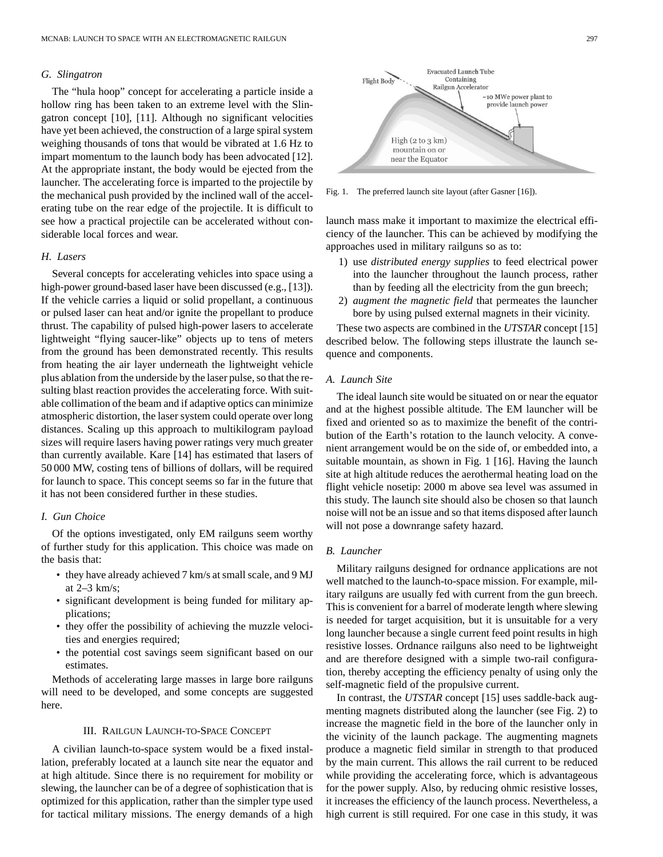#### *G. Slingatron*

The "hula hoop" concept for accelerating a particle inside a hollow ring has been taken to an extreme level with the Slingatron concept [10], [11]. Although no significant velocities have yet been achieved, the construction of a large spiral system weighing thousands of tons that would be vibrated at 1.6 Hz to impart momentum to the launch body has been advocated [12]. At the appropriate instant, the body would be ejected from the launcher. The accelerating force is imparted to the projectile by the mechanical push provided by the inclined wall of the accelerating tube on the rear edge of the projectile. It is difficult to see how a practical projectile can be accelerated without considerable local forces and wear.

## *H. Lasers*

Several concepts for accelerating vehicles into space using a high-power ground-based laser have been discussed (e.g., [13]). If the vehicle carries a liquid or solid propellant, a continuous or pulsed laser can heat and/or ignite the propellant to produce thrust. The capability of pulsed high-power lasers to accelerate lightweight "flying saucer-like" objects up to tens of meters from the ground has been demonstrated recently. This results from heating the air layer underneath the lightweight vehicle plus ablation from the underside by the laser pulse, so that the resulting blast reaction provides the accelerating force. With suitable collimation of the beam and if adaptive optics can minimize atmospheric distortion, the laser system could operate over long distances. Scaling up this approach to multikilogram payload sizes will require lasers having power ratings very much greater than currently available. Kare [14] has estimated that lasers of 50 000 MW, costing tens of billions of dollars, will be required for launch to space. This concept seems so far in the future that it has not been considered further in these studies.

## *I. Gun Choice*

Of the options investigated, only EM railguns seem worthy of further study for this application. This choice was made on the basis that:

- they have already achieved 7 km/s at small scale, and 9 MJ at 2–3 km/s;
- significant development is being funded for military applications;
- they offer the possibility of achieving the muzzle velocities and energies required;
- the potential cost savings seem significant based on our estimates.

Methods of accelerating large masses in large bore railguns will need to be developed, and some concepts are suggested here.

## III. RAILGUN LAUNCH-TO-SPACE CONCEPT

A civilian launch-to-space system would be a fixed installation, preferably located at a launch site near the equator and at high altitude. Since there is no requirement for mobility or slewing, the launcher can be of a degree of sophistication that is optimized for this application, rather than the simpler type used for tactical military missions. The energy demands of a high



Fig. 1. The preferred launch site layout (after Gasner [16]).

launch mass make it important to maximize the electrical efficiency of the launcher. This can be achieved by modifying the approaches used in military railguns so as to:

- 1) use *distributed energy supplies* to feed electrical power into the launcher throughout the launch process, rather than by feeding all the electricity from the gun breech;
- 2) *augment the magnetic field* that permeates the launcher bore by using pulsed external magnets in their vicinity.

These two aspects are combined in the *UTSTAR* concept [15] described below. The following steps illustrate the launch sequence and components.

## *A. Launch Site*

The ideal launch site would be situated on or near the equator and at the highest possible altitude. The EM launcher will be fixed and oriented so as to maximize the benefit of the contribution of the Earth's rotation to the launch velocity. A convenient arrangement would be on the side of, or embedded into, a suitable mountain, as shown in Fig. 1 [16]. Having the launch site at high altitude reduces the aerothermal heating load on the flight vehicle nosetip: 2000 m above sea level was assumed in this study. The launch site should also be chosen so that launch noise will not be an issue and so that items disposed after launch will not pose a downrange safety hazard.

## *B. Launcher*

Military railguns designed for ordnance applications are not well matched to the launch-to-space mission. For example, military railguns are usually fed with current from the gun breech. This is convenient for a barrel of moderate length where slewing is needed for target acquisition, but it is unsuitable for a very long launcher because a single current feed point results in high resistive losses. Ordnance railguns also need to be lightweight and are therefore designed with a simple two-rail configuration, thereby accepting the efficiency penalty of using only the self-magnetic field of the propulsive current.

In contrast, the *UTSTAR* concept [15] uses saddle-back augmenting magnets distributed along the launcher (see Fig. 2) to increase the magnetic field in the bore of the launcher only in the vicinity of the launch package. The augmenting magnets produce a magnetic field similar in strength to that produced by the main current. This allows the rail current to be reduced while providing the accelerating force, which is advantageous for the power supply. Also, by reducing ohmic resistive losses, it increases the efficiency of the launch process. Nevertheless, a high current is still required. For one case in this study, it was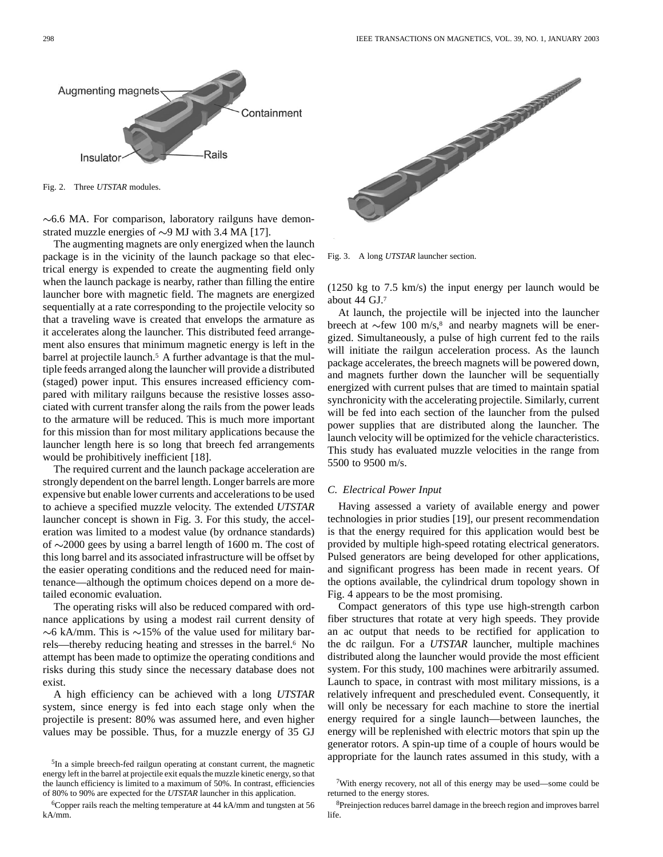

Fig. 2. Three *UTSTAR* modules.

 $\sim$  6.6 MA. For comparison, laboratory railguns have demonstrated muzzle energies of  $\sim$ 9 MJ with 3.4 MA [17].

The augmenting magnets are only energized when the launch package is in the vicinity of the launch package so that electrical energy is expended to create the augmenting field only when the launch package is nearby, rather than filling the entire launcher bore with magnetic field. The magnets are energized sequentially at a rate corresponding to the projectile velocity so that a traveling wave is created that envelops the armature as it accelerates along the launcher. This distributed feed arrangement also ensures that minimum magnetic energy is left in the barrel at projectile launch.<sup>5</sup> A further advantage is that the multiple feeds arranged along the launcher will provide a distributed (staged) power input. This ensures increased efficiency compared with military railguns because the resistive losses associated with current transfer along the rails from the power leads to the armature will be reduced. This is much more important for this mission than for most military applications because the launcher length here is so long that breech fed arrangements would be prohibitively inefficient [18].

The required current and the launch package acceleration are strongly dependent on the barrel length. Longer barrels are more expensive but enable lower currents and accelerations to be used to achieve a specified muzzle velocity. The extended *UTSTAR* launcher concept is shown in Fig. 3. For this study, the acceleration was limited to a modest value (by ordnance standards) of  $\sim$ 2000 gees by using a barrel length of 1600 m. The cost of this long barrel and its associated infrastructure will be offset by the easier operating conditions and the reduced need for maintenance—although the optimum choices depend on a more detailed economic evaluation.

The operating risks will also be reduced compared with ordnance applications by using a modest rail current density of  $\sim$ 6 kA/mm. This is  $\sim$ 15% of the value used for military barrels—thereby reducing heating and stresses in the barrel.6 No attempt has been made to optimize the operating conditions and risks during this study since the necessary database does not exist.

A high efficiency can be achieved with a long *UTSTAR* system, since energy is fed into each stage only when the projectile is present: 80% was assumed here, and even higher values may be possible. Thus, for a muzzle energy of 35 GJ



Fig. 3. A long *UTSTAR* launcher section.

(1250 kg to 7.5 km/s) the input energy per launch would be about 44 GJ.7

At launch, the projectile will be injected into the launcher breech at  $\sim$ few 100 m/s,<sup>8</sup> and nearby magnets will be energized. Simultaneously, a pulse of high current fed to the rails will initiate the railgun acceleration process. As the launch package accelerates, the breech magnets will be powered down, and magnets further down the launcher will be sequentially energized with current pulses that are timed to maintain spatial synchronicity with the accelerating projectile. Similarly, current will be fed into each section of the launcher from the pulsed power supplies that are distributed along the launcher. The launch velocity will be optimized for the vehicle characteristics. This study has evaluated muzzle velocities in the range from 5500 to 9500 m/s.

#### *C. Electrical Power Input*

Having assessed a variety of available energy and power technologies in prior studies [19], our present recommendation is that the energy required for this application would best be provided by multiple high-speed rotating electrical generators. Pulsed generators are being developed for other applications, and significant progress has been made in recent years. Of the options available, the cylindrical drum topology shown in Fig. 4 appears to be the most promising.

Compact generators of this type use high-strength carbon fiber structures that rotate at very high speeds. They provide an ac output that needs to be rectified for application to the dc railgun. For a *UTSTAR* launcher, multiple machines distributed along the launcher would provide the most efficient system. For this study, 100 machines were arbitrarily assumed. Launch to space, in contrast with most military missions, is a relatively infrequent and prescheduled event. Consequently, it will only be necessary for each machine to store the inertial energy required for a single launch—between launches, the energy will be replenished with electric motors that spin up the generator rotors. A spin-up time of a couple of hours would be appropriate for the launch rates assumed in this study, with a

<sup>5</sup>In a simple breech-fed railgun operating at constant current, the magnetic energy left in the barrel at projectile exit equals the muzzle kinetic energy, so that the launch efficiency is limited to a maximum of 50%. In contrast, efficiencies of 80% to 90% are expected for the *UTSTAR* launcher in this application.

<sup>6</sup>Copper rails reach the melting temperature at 44 kA/mm and tungsten at 56 kA/mm.

<sup>7</sup>With energy recovery, not all of this energy may be used—some could be returned to the energy stores.

<sup>8</sup>Preinjection reduces barrel damage in the breech region and improves barrel life.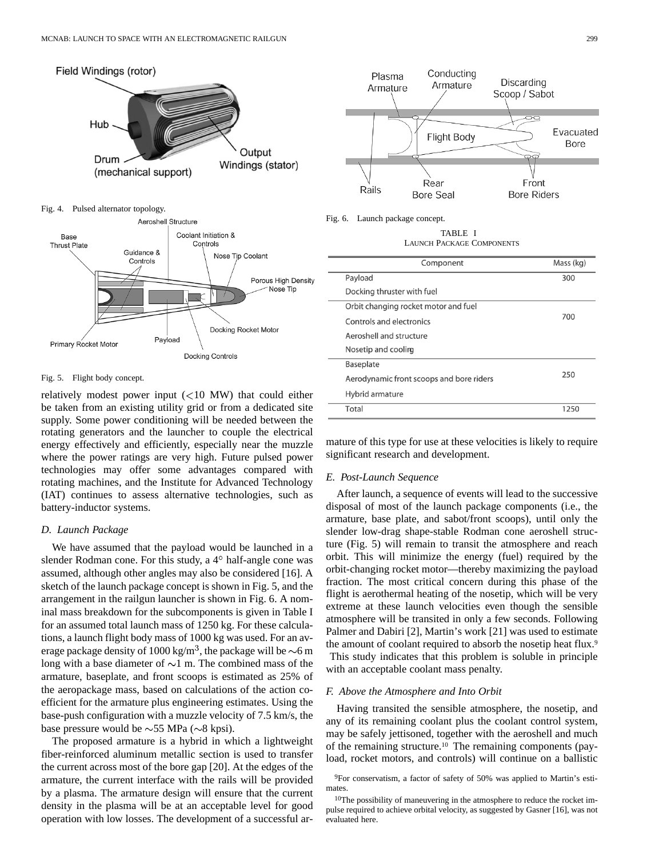

Fig. 4. Pulsed alternator topology.



Fig. 5. Flight body concept.

relatively modest power input  $(<10$  MW) that could either be taken from an existing utility grid or from a dedicated site supply. Some power conditioning will be needed between the rotating generators and the launcher to couple the electrical energy effectively and efficiently, especially near the muzzle where the power ratings are very high. Future pulsed power technologies may offer some advantages compared with rotating machines, and the Institute for Advanced Technology (IAT) continues to assess alternative technologies, such as battery-inductor systems.

#### *D. Launch Package*

We have assumed that the payload would be launched in a slender Rodman cone. For this study, a  $4^{\circ}$  half-angle cone was assumed, although other angles may also be considered [16]. A sketch of the launch package concept is shown in Fig. 5, and the arrangement in the railgun launcher is shown in Fig. 6. A nominal mass breakdown for the subcomponents is given in Table I for an assumed total launch mass of 1250 kg. For these calculations, a launch flight body mass of 1000 kg was used. For an average package density of 1000 kg/m<sup>3</sup>, the package will be  $\sim$ 6 m long with a base diameter of  $\sim$ 1 m. The combined mass of the armature, baseplate, and front scoops is estimated as 25% of the aeropackage mass, based on calculations of the action coefficient for the armature plus engineering estimates. Using the base-push configuration with a muzzle velocity of 7.5 km/s, the base pressure would be  $\sim$ 55 MPa ( $\sim$ 8 kpsi).

The proposed armature is a hybrid in which a lightweight fiber-reinforced aluminum metallic section is used to transfer the current across most of the bore gap [20]. At the edges of the armature, the current interface with the rails will be provided by a plasma. The armature design will ensure that the current density in the plasma will be at an acceptable level for good operation with low losses. The development of a successful ar-



Fig. 6. Launch package concept.

TABLE I LAUNCH PACKAGE COMPONENTS

| Mass (kg)<br>Component<br>Payload<br>300<br>Docking thruster with fuel<br>Orbit changing rocket motor and fuel<br>700<br>Controls and electronics<br>Aeroshell and structure<br>Nosetip and cooling<br>Baseplate<br>250<br>Aerodynamic front scoops and bore riders<br>Hybrid armature<br>Total<br>1250 |  |
|---------------------------------------------------------------------------------------------------------------------------------------------------------------------------------------------------------------------------------------------------------------------------------------------------------|--|
|                                                                                                                                                                                                                                                                                                         |  |
|                                                                                                                                                                                                                                                                                                         |  |
|                                                                                                                                                                                                                                                                                                         |  |
|                                                                                                                                                                                                                                                                                                         |  |
|                                                                                                                                                                                                                                                                                                         |  |
|                                                                                                                                                                                                                                                                                                         |  |
|                                                                                                                                                                                                                                                                                                         |  |
|                                                                                                                                                                                                                                                                                                         |  |
|                                                                                                                                                                                                                                                                                                         |  |
|                                                                                                                                                                                                                                                                                                         |  |
|                                                                                                                                                                                                                                                                                                         |  |

mature of this type for use at these velocities is likely to require significant research and development.

## *E. Post-Launch Sequence*

After launch, a sequence of events will lead to the successive disposal of most of the launch package components (i.e., the armature, base plate, and sabot/front scoops), until only the slender low-drag shape-stable Rodman cone aeroshell structure (Fig. 5) will remain to transit the atmosphere and reach orbit. This will minimize the energy (fuel) required by the orbit-changing rocket motor—thereby maximizing the payload fraction. The most critical concern during this phase of the flight is aerothermal heating of the nosetip, which will be very extreme at these launch velocities even though the sensible atmosphere will be transited in only a few seconds. Following Palmer and Dabiri [2], Martin's work [21] was used to estimate the amount of coolant required to absorb the nosetip heat flux.9 This study indicates that this problem is soluble in principle with an acceptable coolant mass penalty.

## *F. Above the Atmosphere and Into Orbit*

Having transited the sensible atmosphere, the nosetip, and any of its remaining coolant plus the coolant control system, may be safely jettisoned, together with the aeroshell and much of the remaining structure.10 The remaining components (payload, rocket motors, and controls) will continue on a ballistic

<sup>9</sup>For conservatism, a factor of safety of 50% was applied to Martin's estimates.

<sup>10</sup>The possibility of maneuvering in the atmosphere to reduce the rocket impulse required to achieve orbital velocity, as suggested by Gasner [16], was not evaluated here.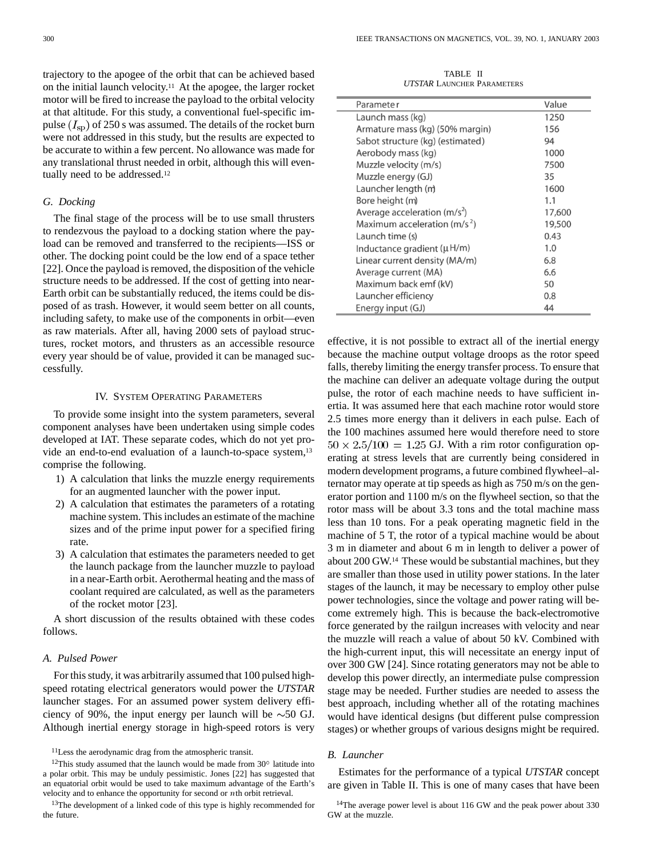trajectory to the apogee of the orbit that can be achieved based on the initial launch velocity.11 At the apogee, the larger rocket motor will be fired to increase the payload to the orbital velocity at that altitude. For this study, a conventional fuel-specific impulse  $(I_{\rm SD})$  of 250 s was assumed. The details of the rocket burn were not addressed in this study, but the results are expected to be accurate to within a few percent. No allowance was made for any translational thrust needed in orbit, although this will eventually need to be addressed.12

## *G. Docking*

The final stage of the process will be to use small thrusters to rendezvous the payload to a docking station where the payload can be removed and transferred to the recipients—ISS or other. The docking point could be the low end of a space tether [22]. Once the payload is removed, the disposition of the vehicle structure needs to be addressed. If the cost of getting into near-Earth orbit can be substantially reduced, the items could be disposed of as trash. However, it would seem better on all counts, including safety, to make use of the components in orbit—even as raw materials. After all, having 2000 sets of payload structures, rocket motors, and thrusters as an accessible resource every year should be of value, provided it can be managed successfully.

## IV. SYSTEM OPERATING PARAMETERS

To provide some insight into the system parameters, several component analyses have been undertaken using simple codes developed at IAT. These separate codes, which do not yet provide an end-to-end evaluation of a launch-to-space system,<sup>13</sup> comprise the following.

- 1) A calculation that links the muzzle energy requirements for an augmented launcher with the power input.
- 2) A calculation that estimates the parameters of a rotating machine system. This includes an estimate of the machine sizes and of the prime input power for a specified firing rate.
- 3) A calculation that estimates the parameters needed to get the launch package from the launcher muzzle to payload in a near-Earth orbit. Aerothermal heating and the mass of coolant required are calculated, as well as the parameters of the rocket motor [23].

A short discussion of the results obtained with these codes follows.

#### *A. Pulsed Power*

For this study, it was arbitrarily assumed that 100 pulsed highspeed rotating electrical generators would power the *UTSTAR* launcher stages. For an assumed power system delivery efficiency of 90%, the input energy per launch will be  $\sim$  50 GJ. Although inertial energy storage in high-speed rotors is very

11Less the aerodynamic drag from the atmospheric transit.

TABLE II *UTSTAR* LAUNCHER PARAMETERS

| Paramete r                               | Value  |
|------------------------------------------|--------|
| Launch mass (kg)                         | 1250   |
| Armature mass (kg) (50% margin)          | 156    |
| Sabot structure (kg) (estimated)         | 94     |
| Aerobody mass (kg)                       | 1000   |
| Muzzle velocity (m/s)                    | 7500   |
| Muzzle energy (GJ)                       | 35     |
| Launcher length (m)                      | 1600   |
| Bore height (m)                          | 1.1    |
| Average acceleration $(m/s^2)$           | 17,600 |
| Maximum acceleration (m/s <sup>2</sup> ) | 19,500 |
| Launch time (s)                          | 0.43   |
| Inductance gradient $(\mu H/m)$          | 1.0    |
| Linear current density (MA/m)            | 6.8    |
| Average current (MA)                     | 6.6    |
| Maximum back emf (kV)                    | 50     |
| Launcher efficiency                      | 0.8    |
| Energy input (GJ)                        | 44     |

effective, it is not possible to extract all of the inertial energy because the machine output voltage droops as the rotor speed falls, thereby limiting the energy transfer process. To ensure that the machine can deliver an adequate voltage during the output pulse, the rotor of each machine needs to have sufficient inertia. It was assumed here that each machine rotor would store 2.5 times more energy than it delivers in each pulse. Each of the 100 machines assumed here would therefore need to store  $50 \times 2.5/100 = 1.25$  GJ. With a rim rotor configuration operating at stress levels that are currently being considered in modern development programs, a future combined flywheel–alternator may operate at tip speeds as high as 750 m/s on the generator portion and 1100 m/s on the flywheel section, so that the rotor mass will be about 3.3 tons and the total machine mass less than 10 tons. For a peak operating magnetic field in the machine of 5 T, the rotor of a typical machine would be about 3 m in diameter and about 6 m in length to deliver a power of about 200 GW.14 These would be substantial machines, but they are smaller than those used in utility power stations. In the later stages of the launch, it may be necessary to employ other pulse power technologies, since the voltage and power rating will become extremely high. This is because the back-electromotive force generated by the railgun increases with velocity and near the muzzle will reach a value of about 50 kV. Combined with the high-current input, this will necessitate an energy input of over 300 GW [24]. Since rotating generators may not be able to develop this power directly, an intermediate pulse compression stage may be needed. Further studies are needed to assess the best approach, including whether all of the rotating machines would have identical designs (but different pulse compression stages) or whether groups of various designs might be required.

## *B. Launcher*

Estimates for the performance of a typical *UTSTAR* concept are given in Table II. This is one of many cases that have been

<sup>&</sup>lt;sup>12</sup>This study assumed that the launch would be made from  $30^{\circ}$  latitude into a polar orbit. This may be unduly pessimistic. Jones [22] has suggested that an equatorial orbit would be used to take maximum advantage of the Earth's velocity and to enhance the opportunity for second or nth orbit retrieval.

<sup>&</sup>lt;sup>13</sup>The development of a linked code of this type is highly recommended for the future.

<sup>&</sup>lt;sup>14</sup>The average power level is about 116 GW and the peak power about 330 GW at the muzzle.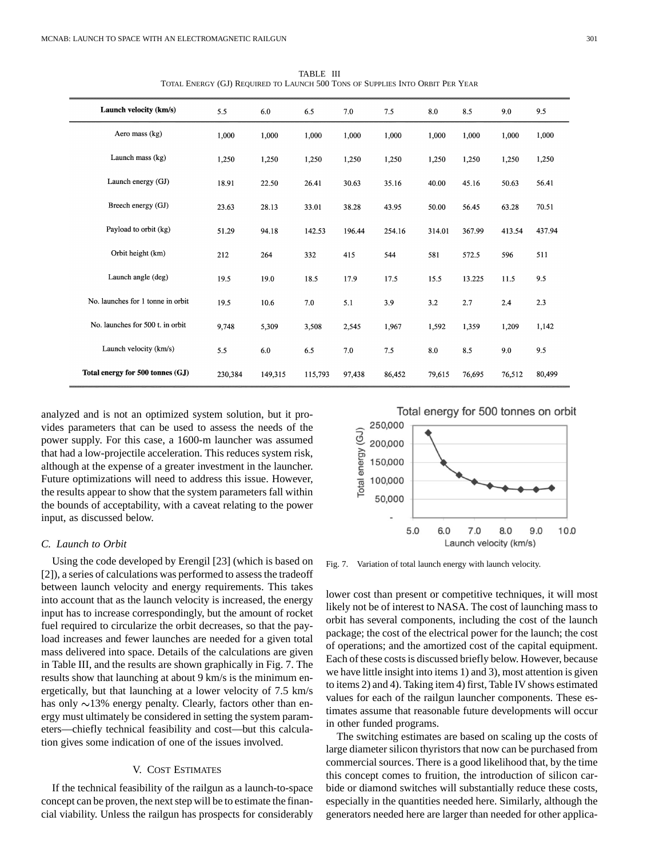TABLE III TOTAL ENERGY (GJ) REQUIRED TO LAUNCH 500 TONS OF SUPPLIES INTO ORBIT PER YEAR

| Launch velocity (km/s)            | 5.5     | 6.0     | 6.5     | 7.0    | 7.5    | 8.0     | 8.5    | 9.0    | 9.5    |
|-----------------------------------|---------|---------|---------|--------|--------|---------|--------|--------|--------|
| Aero mass (kg)                    | 1,000   | 1,000   | 1,000   | 1,000  | 1,000  | 1,000   | 1,000  | 1.000  | 1,000  |
| Launch mass (kg)                  | 1,250   | 1,250   | 1,250   | 1,250  | 1,250  | 1,250   | 1,250  | 1,250  | 1,250  |
| Launch energy (GJ)                | 18.91   | 22.50   | 26.41   | 30.63  | 35.16  | 40.00   | 45.16  | 50.63  | 56.41  |
| Breech energy (GJ)                | 23.63   | 28.13   | 33.01   | 38.28  | 43.95  | 50.00   | 56.45  | 63.28  | 70.51  |
| Payload to orbit (kg)             | 51.29   | 94.18   | 142.53  | 196.44 | 254.16 | 314.01  | 367.99 | 413.54 | 437.94 |
| Orbit height (km)                 | 212     | 264     | 332     | 415    | 544    | 581     | 572.5  | 596    | 511    |
| Launch angle (deg)                | 19.5    | 19.0    | 18.5    | 17.9   | 17.5   | 15.5    | 13.225 | 11.5   | 9.5    |
| No. launches for 1 tonne in orbit | 19.5    | 10.6    | 7.0     | 5.1    | 3.9    | 3.2     | 2.7    | 2.4    | 2.3    |
| No. launches for 500 t. in orbit  | 9,748   | 5,309   | 3,508   | 2,545  | 1,967  | 1,592   | 1,359  | 1,209  | 1,142  |
| Launch velocity (km/s)            | 5.5     | 6.0     | 6.5     | 7.0    | 7.5    | $8.0\,$ | 8.5    | 9.0    | 9.5    |
| Total energy for 500 tonnes (GJ)  | 230,384 | 149,315 | 115,793 | 97,438 | 86,452 | 79,615  | 76,695 | 76,512 | 80,499 |

analyzed and is not an optimized system solution, but it provides parameters that can be used to assess the needs of the power supply. For this case, a 1600-m launcher was assumed that had a low-projectile acceleration. This reduces system risk, although at the expense of a greater investment in the launcher. Future optimizations will need to address this issue. However, the results appear to show that the system parameters fall within the bounds of acceptability, with a caveat relating to the power input, as discussed below.

#### *C. Launch to Orbit*

Using the code developed by Erengil [23] (which is based on [2]), a series of calculations was performed to assess the tradeoff between launch velocity and energy requirements. This takes into account that as the launch velocity is increased, the energy input has to increase correspondingly, but the amount of rocket fuel required to circularize the orbit decreases, so that the payload increases and fewer launches are needed for a given total mass delivered into space. Details of the calculations are given in Table III, and the results are shown graphically in Fig. 7. The results show that launching at about 9 km/s is the minimum energetically, but that launching at a lower velocity of 7.5 km/s has only  $\sim$ 13% energy penalty. Clearly, factors other than energy must ultimately be considered in setting the system parameters—chiefly technical feasibility and cost—but this calculation gives some indication of one of the issues involved.

#### V. COST ESTIMATES

If the technical feasibility of the railgun as a launch-to-space concept can be proven, the next step will be to estimate the financial viability. Unless the railgun has prospects for considerably





Fig. 7. Variation of total launch energy with launch velocity.

lower cost than present or competitive techniques, it will most likely not be of interest to NASA. The cost of launching mass to orbit has several components, including the cost of the launch package; the cost of the electrical power for the launch; the cost of operations; and the amortized cost of the capital equipment. Each of these costs is discussed briefly below. However, because we have little insight into items 1) and 3), most attention is given to items 2) and 4). Taking item 4) first, Table IV shows estimated values for each of the railgun launcher components. These estimates assume that reasonable future developments will occur in other funded programs.

The switching estimates are based on scaling up the costs of large diameter silicon thyristors that now can be purchased from commercial sources. There is a good likelihood that, by the time this concept comes to fruition, the introduction of silicon carbide or diamond switches will substantially reduce these costs, especially in the quantities needed here. Similarly, although the generators needed here are larger than needed for other applica-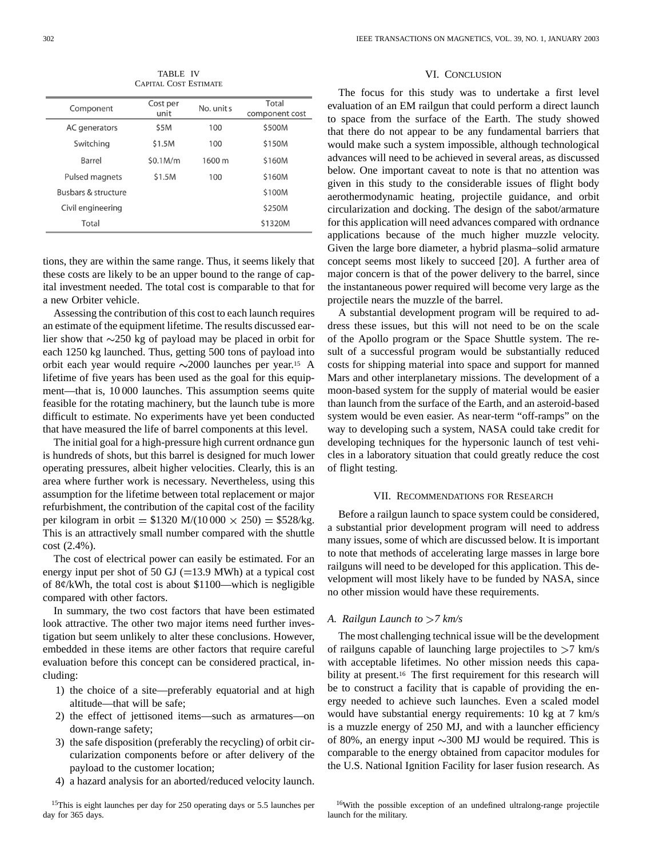| TABLE IV              |  |
|-----------------------|--|
| CAPITAL COST ESTIMATE |  |

| Component           | Cost per<br>unit | No. unit s | Total<br>component cost |
|---------------------|------------------|------------|-------------------------|
| AC generators       | \$5M             | 100        | \$500M                  |
| Switching           | \$1.5M           | 100        | \$150M                  |
| Barrel              | \$0.1M/m         | 1600 m     | \$160M                  |
| Pulsed magnets      | \$1.5M           | 100        | \$160M                  |
| Busbars & structure |                  |            | \$100M                  |
| Civil engineering   |                  |            | \$250M                  |
| Total               |                  |            | \$1320M                 |

tions, they are within the same range. Thus, it seems likely that these costs are likely to be an upper bound to the range of capital investment needed. The total cost is comparable to that for a new Orbiter vehicle.

Assessing the contribution of this cost to each launch requires an estimate of the equipment lifetime. The results discussed earlier show that  $\sim$ 250 kg of payload may be placed in orbit for each 1250 kg launched. Thus, getting 500 tons of payload into orbit each year would require  $\sim$ 2000 launches per year.<sup>15</sup> A lifetime of five years has been used as the goal for this equipment—that is, 10 000 launches. This assumption seems quite feasible for the rotating machinery, but the launch tube is more difficult to estimate. No experiments have yet been conducted that have measured the life of barrel components at this level.

The initial goal for a high-pressure high current ordnance gun is hundreds of shots, but this barrel is designed for much lower operating pressures, albeit higher velocities. Clearly, this is an area where further work is necessary. Nevertheless, using this assumption for the lifetime between total replacement or major refurbishment, the contribution of the capital cost of the facility per kilogram in orbit  $= $1320 \text{ M}/(10000 \times 250) = $528/kg$ . This is an attractively small number compared with the shuttle cost (2.4%).

The cost of electrical power can easily be estimated. For an energy input per shot of 50 GJ  $(=13.9 \text{ MWh})$  at a typical cost of 8¢/kWh, the total cost is about \$1100—which is negligible compared with other factors.

In summary, the two cost factors that have been estimated look attractive. The other two major items need further investigation but seem unlikely to alter these conclusions. However, embedded in these items are other factors that require careful evaluation before this concept can be considered practical, including:

- 1) the choice of a site—preferably equatorial and at high altitude—that will be safe;
- 2) the effect of jettisoned items—such as armatures—on down-range safety;
- 3) the safe disposition (preferably the recycling) of orbit circularization components before or after delivery of the payload to the customer location;
- 4) a hazard analysis for an aborted/reduced velocity launch.

15This is eight launches per day for 250 operating days or 5.5 launches per day for 365 days.

#### VI. CONCLUSION

The focus for this study was to undertake a first level evaluation of an EM railgun that could perform a direct launch to space from the surface of the Earth. The study showed that there do not appear to be any fundamental barriers that would make such a system impossible, although technological advances will need to be achieved in several areas, as discussed below. One important caveat to note is that no attention was given in this study to the considerable issues of flight body aerothermodynamic heating, projectile guidance, and orbit circularization and docking. The design of the sabot/armature for this application will need advances compared with ordnance applications because of the much higher muzzle velocity. Given the large bore diameter, a hybrid plasma–solid armature concept seems most likely to succeed [20]. A further area of major concern is that of the power delivery to the barrel, since the instantaneous power required will become very large as the projectile nears the muzzle of the barrel.

A substantial development program will be required to address these issues, but this will not need to be on the scale of the Apollo program or the Space Shuttle system. The result of a successful program would be substantially reduced costs for shipping material into space and support for manned Mars and other interplanetary missions. The development of a moon-based system for the supply of material would be easier than launch from the surface of the Earth, and an asteroid-based system would be even easier. As near-term "off-ramps" on the way to developing such a system, NASA could take credit for developing techniques for the hypersonic launch of test vehicles in a laboratory situation that could greatly reduce the cost of flight testing.

#### VII. RECOMMENDATIONS FOR RESEARCH

Before a railgun launch to space system could be considered, a substantial prior development program will need to address many issues, some of which are discussed below. It is important to note that methods of accelerating large masses in large bore railguns will need to be developed for this application. This development will most likely have to be funded by NASA, since no other mission would have these requirements.

#### *A. Railgun Launch to 7 km/s*

The most challenging technical issue will be the development of railguns capable of launching large projectiles to  $>7$  km/s with acceptable lifetimes. No other mission needs this capability at present.<sup>16</sup> The first requirement for this research will be to construct a facility that is capable of providing the energy needed to achieve such launches. Even a scaled model would have substantial energy requirements: 10 kg at 7 km/s is a muzzle energy of 250 MJ, and with a launcher efficiency of 80%, an energy input  $\sim$ 300 MJ would be required. This is comparable to the energy obtained from capacitor modules for the U.S. National Ignition Facility for laser fusion research. As

<sup>16</sup>With the possible exception of an undefined ultralong-range projectile launch for the military.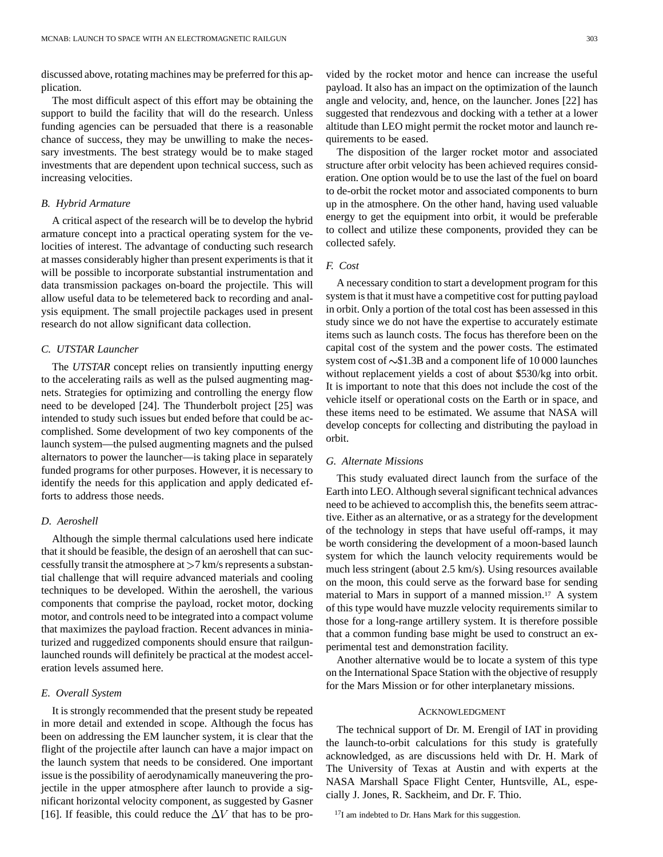discussed above, rotating machines may be preferred for this application.

The most difficult aspect of this effort may be obtaining the support to build the facility that will do the research. Unless funding agencies can be persuaded that there is a reasonable chance of success, they may be unwilling to make the necessary investments. The best strategy would be to make staged investments that are dependent upon technical success, such as increasing velocities.

## *B. Hybrid Armature*

A critical aspect of the research will be to develop the hybrid armature concept into a practical operating system for the velocities of interest. The advantage of conducting such research at masses considerably higher than present experiments is that it will be possible to incorporate substantial instrumentation and data transmission packages on-board the projectile. This will allow useful data to be telemetered back to recording and analysis equipment. The small projectile packages used in present research do not allow significant data collection.

## *C. UTSTAR Launcher*

The *UTSTAR* concept relies on transiently inputting energy to the accelerating rails as well as the pulsed augmenting magnets. Strategies for optimizing and controlling the energy flow need to be developed [24]. The Thunderbolt project [25] was intended to study such issues but ended before that could be accomplished. Some development of two key components of the launch system—the pulsed augmenting magnets and the pulsed alternators to power the launcher—is taking place in separately funded programs for other purposes. However, it is necessary to identify the needs for this application and apply dedicated efforts to address those needs.

#### *D. Aeroshell*

Although the simple thermal calculations used here indicate that it should be feasible, the design of an aeroshell that can successfully transit the atmosphere at  $>7$  km/s represents a substantial challenge that will require advanced materials and cooling techniques to be developed. Within the aeroshell, the various components that comprise the payload, rocket motor, docking motor, and controls need to be integrated into a compact volume that maximizes the payload fraction. Recent advances in miniaturized and ruggedized components should ensure that railgunlaunched rounds will definitely be practical at the modest acceleration levels assumed here.

#### *E. Overall System*

It is strongly recommended that the present study be repeated in more detail and extended in scope. Although the focus has been on addressing the EM launcher system, it is clear that the flight of the projectile after launch can have a major impact on the launch system that needs to be considered. One important issue is the possibility of aerodynamically maneuvering the projectile in the upper atmosphere after launch to provide a significant horizontal velocity component, as suggested by Gasner [16]. If feasible, this could reduce the  $\Delta V$  that has to be provided by the rocket motor and hence can increase the useful payload. It also has an impact on the optimization of the launch angle and velocity, and, hence, on the launcher. Jones [22] has suggested that rendezvous and docking with a tether at a lower altitude than LEO might permit the rocket motor and launch requirements to be eased.

The disposition of the larger rocket motor and associated structure after orbit velocity has been achieved requires consideration. One option would be to use the last of the fuel on board to de-orbit the rocket motor and associated components to burn up in the atmosphere. On the other hand, having used valuable energy to get the equipment into orbit, it would be preferable to collect and utilize these components, provided they can be collected safely.

# *F. Cost*

A necessary condition to start a development program for this system is that it must have a competitive cost for putting payload in orbit. Only a portion of the total cost has been assessed in this study since we do not have the expertise to accurately estimate items such as launch costs. The focus has therefore been on the capital cost of the system and the power costs. The estimated system cost of  $\sim $1.3B$  and a component life of 10 000 launches without replacement yields a cost of about \$530/kg into orbit. It is important to note that this does not include the cost of the vehicle itself or operational costs on the Earth or in space, and these items need to be estimated. We assume that NASA will develop concepts for collecting and distributing the payload in orbit.

#### *G. Alternate Missions*

This study evaluated direct launch from the surface of the Earth into LEO. Although several significant technical advances need to be achieved to accomplish this, the benefits seem attractive. Either as an alternative, or as a strategy for the development of the technology in steps that have useful off-ramps, it may be worth considering the development of a moon-based launch system for which the launch velocity requirements would be much less stringent (about 2.5 km/s). Using resources available on the moon, this could serve as the forward base for sending material to Mars in support of a manned mission.17 A system of this type would have muzzle velocity requirements similar to those for a long-range artillery system. It is therefore possible that a common funding base might be used to construct an experimental test and demonstration facility.

Another alternative would be to locate a system of this type on the International Space Station with the objective of resupply for the Mars Mission or for other interplanetary missions.

#### ACKNOWLEDGMENT

The technical support of Dr. M. Erengil of IAT in providing the launch-to-orbit calculations for this study is gratefully acknowledged, as are discussions held with Dr. H. Mark of The University of Texas at Austin and with experts at the NASA Marshall Space Flight Center, Huntsville, AL, especially J. Jones, R. Sackheim, and Dr. F. Thio.

<sup>17</sup>I am indebted to Dr. Hans Mark for this suggestion.